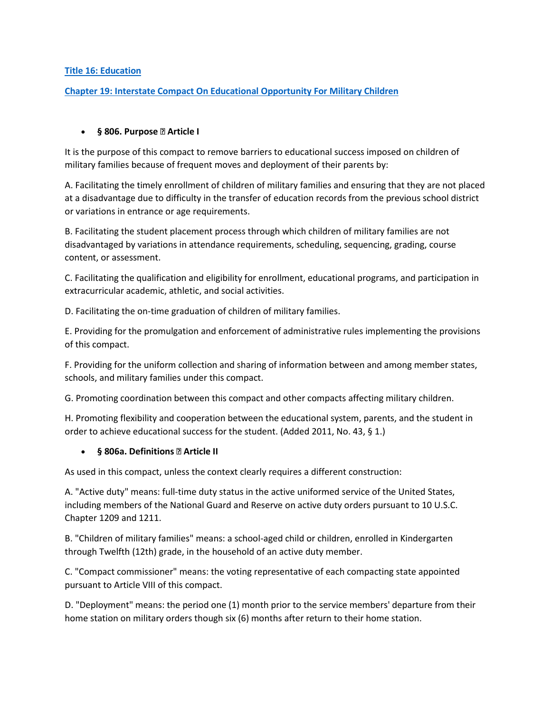#### **Title 16: [Education](http://legislature.vermont.gov/statutes/title/16)**

#### **[Chapter 19: Interstate Compact On Educational Opportunity For Military Children](http://legislature.vermont.gov/statutes/chapter/16/019)**

#### **§ 806. Purpose —Article I**

It is the purpose of this compact to remove barriers to educational success imposed on children of military families because of frequent moves and deployment of their parents by:

A. Facilitating the timely enrollment of children of military families and ensuring that they are not placed at a disadvantage due to difficulty in the transfer of education records from the previous school district or variations in entrance or age requirements.

B. Facilitating the student placement process through which children of military families are not disadvantaged by variations in attendance requirements, scheduling, sequencing, grading, course content, or assessment.

C. Facilitating the qualification and eligibility for enrollment, educational programs, and participation in extracurricular academic, athletic, and social activities.

D. Facilitating the on-time graduation of children of military families.

E. Providing for the promulgation and enforcement of administrative rules implementing the provisions of this compact.

F. Providing for the uniform collection and sharing of information between and among member states, schools, and military families under this compact.

G. Promoting coordination between this compact and other compacts affecting military children.

H. Promoting flexibility and cooperation between the educational system, parents, and the student in order to achieve educational success for the student. (Added 2011, No. 43, § 1.)

#### **§ 806a. Definitions —Article II**

As used in this compact, unless the context clearly requires a different construction:

A. "Active duty" means: full-time duty status in the active uniformed service of the United States, including members of the National Guard and Reserve on active duty orders pursuant to 10 U.S.C. Chapter 1209 and 1211.

B. "Children of military families" means: a school-aged child or children, enrolled in Kindergarten through Twelfth (12th) grade, in the household of an active duty member.

C. "Compact commissioner" means: the voting representative of each compacting state appointed pursuant to Article VIII of this compact.

D. "Deployment" means: the period one (1) month prior to the service members' departure from their home station on military orders though six (6) months after return to their home station.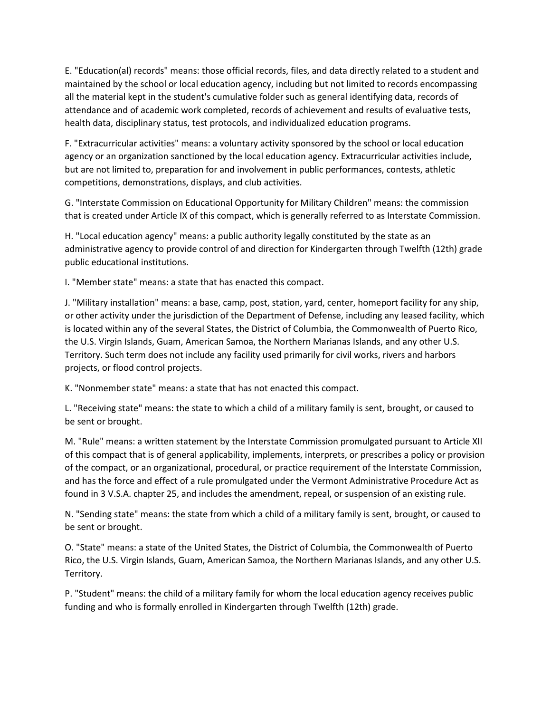E. "Education(al) records" means: those official records, files, and data directly related to a student and maintained by the school or local education agency, including but not limited to records encompassing all the material kept in the student's cumulative folder such as general identifying data, records of attendance and of academic work completed, records of achievement and results of evaluative tests, health data, disciplinary status, test protocols, and individualized education programs.

F. "Extracurricular activities" means: a voluntary activity sponsored by the school or local education agency or an organization sanctioned by the local education agency. Extracurricular activities include, but are not limited to, preparation for and involvement in public performances, contests, athletic competitions, demonstrations, displays, and club activities.

G. "Interstate Commission on Educational Opportunity for Military Children" means: the commission that is created under Article IX of this compact, which is generally referred to as Interstate Commission.

H. "Local education agency" means: a public authority legally constituted by the state as an administrative agency to provide control of and direction for Kindergarten through Twelfth (12th) grade public educational institutions.

I. "Member state" means: a state that has enacted this compact.

J. "Military installation" means: a base, camp, post, station, yard, center, homeport facility for any ship, or other activity under the jurisdiction of the Department of Defense, including any leased facility, which is located within any of the several States, the District of Columbia, the Commonwealth of Puerto Rico, the U.S. Virgin Islands, Guam, American Samoa, the Northern Marianas Islands, and any other U.S. Territory. Such term does not include any facility used primarily for civil works, rivers and harbors projects, or flood control projects.

K. "Nonmember state" means: a state that has not enacted this compact.

L. "Receiving state" means: the state to which a child of a military family is sent, brought, or caused to be sent or brought.

M. "Rule" means: a written statement by the Interstate Commission promulgated pursuant to Article XII of this compact that is of general applicability, implements, interprets, or prescribes a policy or provision of the compact, or an organizational, procedural, or practice requirement of the Interstate Commission, and has the force and effect of a rule promulgated under the Vermont Administrative Procedure Act as found in 3 V.S.A. chapter 25, and includes the amendment, repeal, or suspension of an existing rule.

N. "Sending state" means: the state from which a child of a military family is sent, brought, or caused to be sent or brought.

O. "State" means: a state of the United States, the District of Columbia, the Commonwealth of Puerto Rico, the U.S. Virgin Islands, Guam, American Samoa, the Northern Marianas Islands, and any other U.S. Territory.

P. "Student" means: the child of a military family for whom the local education agency receives public funding and who is formally enrolled in Kindergarten through Twelfth (12th) grade.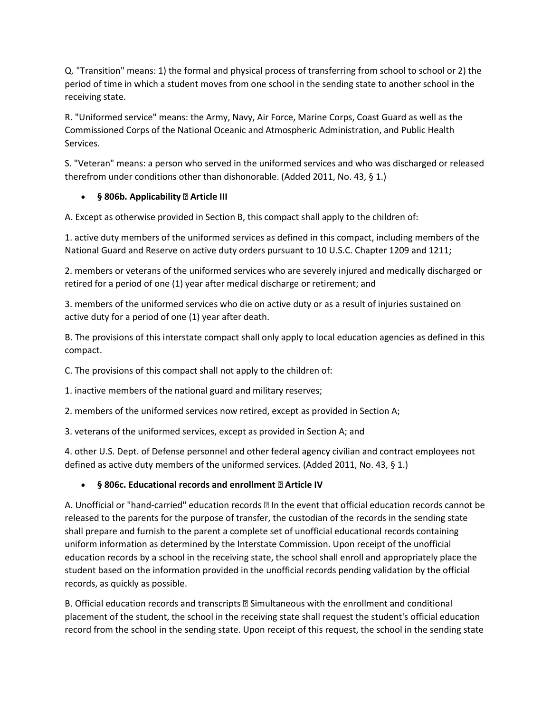Q. "Transition" means: 1) the formal and physical process of transferring from school to school or 2) the period of time in which a student moves from one school in the sending state to another school in the receiving state.

R. "Uniformed service" means: the Army, Navy, Air Force, Marine Corps, Coast Guard as well as the Commissioned Corps of the National Oceanic and Atmospheric Administration, and Public Health Services.

S. "Veteran" means: a person who served in the uniformed services and who was discharged or released therefrom under conditions other than dishonorable. (Added 2011, No. 43, § 1.)

### **§ 806b. Applicability —Article III**

A. Except as otherwise provided in Section B, this compact shall apply to the children of:

1. active duty members of the uniformed services as defined in this compact, including members of the National Guard and Reserve on active duty orders pursuant to 10 U.S.C. Chapter 1209 and 1211;

2. members or veterans of the uniformed services who are severely injured and medically discharged or retired for a period of one (1) year after medical discharge or retirement; and

3. members of the uniformed services who die on active duty or as a result of injuries sustained on active duty for a period of one (1) year after death.

B. The provisions of this interstate compact shall only apply to local education agencies as defined in this compact.

C. The provisions of this compact shall not apply to the children of:

1. inactive members of the national guard and military reserves;

2. members of the uniformed services now retired, except as provided in Section A;

3. veterans of the uniformed services, except as provided in Section A; and

4. other U.S. Dept. of Defense personnel and other federal agency civilian and contract employees not defined as active duty members of the uniformed services. (Added 2011, No. 43, § 1.)

### **§ 806c. Educational records and enrollment —Article IV**

A. Unofficial or "hand-carried" education records —In the event that official education records cannot be released to the parents for the purpose of transfer, the custodian of the records in the sending state shall prepare and furnish to the parent a complete set of unofficial educational records containing uniform information as determined by the Interstate Commission. Upon receipt of the unofficial education records by a school in the receiving state, the school shall enroll and appropriately place the student based on the information provided in the unofficial records pending validation by the official records, as quickly as possible.

B. Official education records and transcripts —Simultaneous with the enrollment and conditional placement of the student, the school in the receiving state shall request the student's official education record from the school in the sending state. Upon receipt of this request, the school in the sending state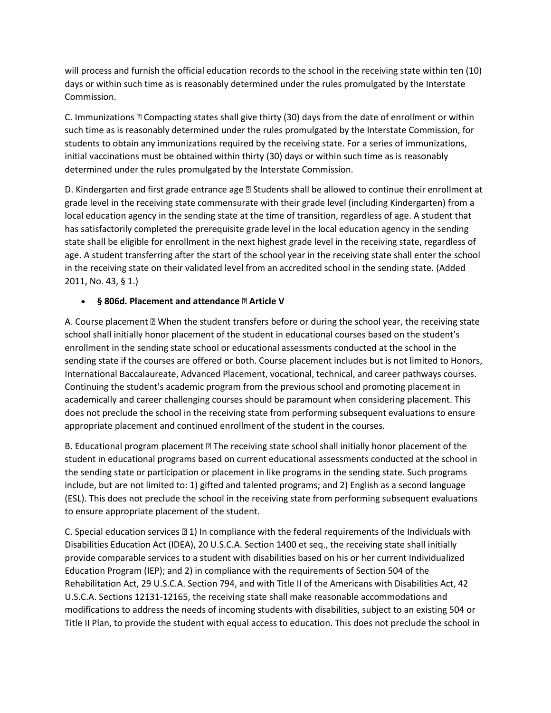will process and furnish the official education records to the school in the receiving state within ten (10) days or within such time as is reasonably determined under the rules promulgated by the Interstate Commission.

C. Immunizations —Compacting states shall give thirty (30) days from the date of enrollment or within such time as is reasonably determined under the rules promulgated by the Interstate Commission, for students to obtain any immunizations required by the receiving state. For a series of immunizations, initial vaccinations must be obtained within thirty (30) days or within such time as is reasonably determined under the rules promulgated by the Interstate Commission.

D. Kindergarten and first grade entrance age - Students shall be allowed to continue their enrollment at grade level in the receiving state commensurate with their grade level (including Kindergarten) from a local education agency in the sending state at the time of transition, regardless of age. A student that has satisfactorily completed the prerequisite grade level in the local education agency in the sending state shall be eligible for enrollment in the next highest grade level in the receiving state, regardless of age. A student transferring after the start of the school year in the receiving state shall enter the school in the receiving state on their validated level from an accredited school in the sending state. (Added 2011, No. 43, § 1.)

#### **§ 806d. Placement and attendance —Article V**

A. Course placement —When the student transfers before or during the school year, the receiving state school shall initially honor placement of the student in educational courses based on the student's enrollment in the sending state school or educational assessments conducted at the school in the sending state if the courses are offered or both. Course placement includes but is not limited to Honors, International Baccalaureate, Advanced Placement, vocational, technical, and career pathways courses. Continuing the student's academic program from the previous school and promoting placement in academically and career challenging courses should be paramount when considering placement. This does not preclude the school in the receiving state from performing subsequent evaluations to ensure appropriate placement and continued enrollment of the student in the courses.

B. Educational program placement —The receiving state school shall initially honor placement of the student in educational programs based on current educational assessments conducted at the school in the sending state or participation or placement in like programs in the sending state. Such programs include, but are not limited to: 1) gifted and talented programs; and 2) English as a second language (ESL). This does not preclude the school in the receiving state from performing subsequent evaluations to ensure appropriate placement of the student.

C. Special education services —1) In compliance with the federal requirements of the Individuals with Disabilities Education Act (IDEA), 20 U.S.C.A. Section 1400 et seq., the receiving state shall initially provide comparable services to a student with disabilities based on his or her current Individualized Education Program (IEP); and 2) in compliance with the requirements of Section 504 of the Rehabilitation Act, 29 U.S.C.A. Section 794, and with Title II of the Americans with Disabilities Act, 42 U.S.C.A. Sections 12131-12165, the receiving state shall make reasonable accommodations and modifications to address the needs of incoming students with disabilities, subject to an existing 504 or Title II Plan, to provide the student with equal access to education. This does not preclude the school in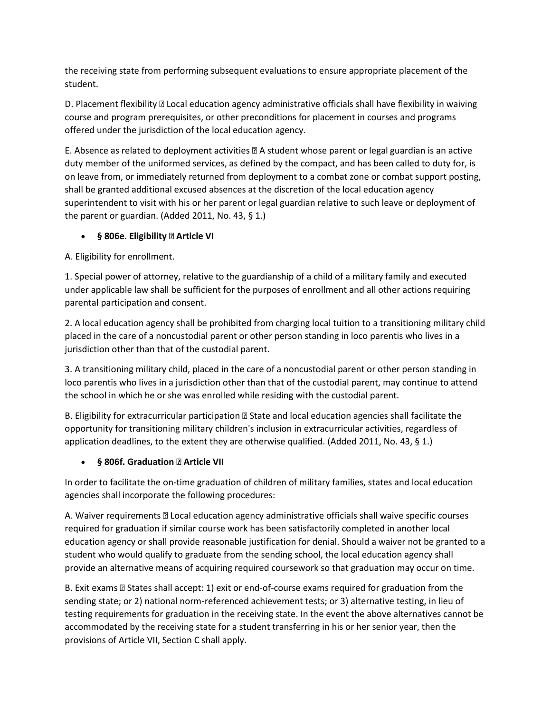the receiving state from performing subsequent evaluations to ensure appropriate placement of the student.

D. Placement flexibility —Local education agency administrative officials shall have flexibility in waiving course and program prerequisites, or other preconditions for placement in courses and programs offered under the jurisdiction of the local education agency.

E. Absence as related to deployment activities —A student whose parent or legal guardian is an active duty member of the uniformed services, as defined by the compact, and has been called to duty for, is on leave from, or immediately returned from deployment to a combat zone or combat support posting, shall be granted additional excused absences at the discretion of the local education agency superintendent to visit with his or her parent or legal guardian relative to such leave or deployment of the parent or guardian. (Added 2011, No. 43, § 1.)

#### **§ 806e. Eligibility —Article VI**

A. Eligibility for enrollment.

1. Special power of attorney, relative to the guardianship of a child of a military family and executed under applicable law shall be sufficient for the purposes of enrollment and all other actions requiring parental participation and consent.

2. A local education agency shall be prohibited from charging local tuition to a transitioning military child placed in the care of a noncustodial parent or other person standing in loco parentis who lives in a jurisdiction other than that of the custodial parent.

3. A transitioning military child, placed in the care of a noncustodial parent or other person standing in loco parentis who lives in a jurisdiction other than that of the custodial parent, may continue to attend the school in which he or she was enrolled while residing with the custodial parent.

B. Eligibility for extracurricular participation —State and local education agencies shall facilitate the opportunity for transitioning military children's inclusion in extracurricular activities, regardless of application deadlines, to the extent they are otherwise qualified. (Added 2011, No. 43, § 1.)

### **§ 806f. Graduation —Article VII**

In order to facilitate the on-time graduation of children of military families, states and local education agencies shall incorporate the following procedures:

A. Waiver requirements —Local education agency administrative officials shall waive specific courses required for graduation if similar course work has been satisfactorily completed in another local education agency or shall provide reasonable justification for denial. Should a waiver not be granted to a student who would qualify to graduate from the sending school, the local education agency shall provide an alternative means of acquiring required coursework so that graduation may occur on time.

B. Exit exams —States shall accept: 1) exit or end-of-course exams required for graduation from the sending state; or 2) national norm-referenced achievement tests; or 3) alternative testing, in lieu of testing requirements for graduation in the receiving state. In the event the above alternatives cannot be accommodated by the receiving state for a student transferring in his or her senior year, then the provisions of Article VII, Section C shall apply.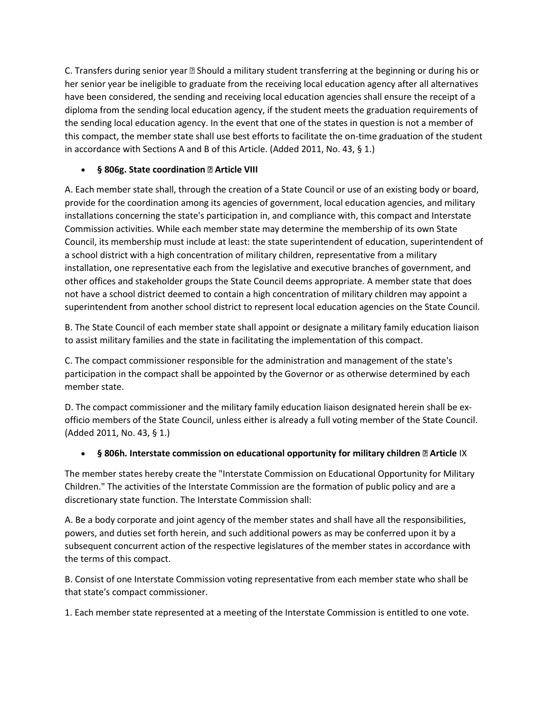C. Transfers during senior year —Should a military student transferring at the beginning or during his or her senior year be ineligible to graduate from the receiving local education agency after all alternatives have been considered, the sending and receiving local education agencies shall ensure the receipt of a diploma from the sending local education agency, if the student meets the graduation requirements of the sending local education agency. In the event that one of the states in question is not a member of this compact, the member state shall use best efforts to facilitate the on-time graduation of the student in accordance with Sections A and B of this Article. (Added 2011, No. 43, § 1.)

### **§ 806g. State coordination —Article VIII**

A. Each member state shall, through the creation of a State Council or use of an existing body or board, provide for the coordination among its agencies of government, local education agencies, and military installations concerning the state's participation in, and compliance with, this compact and Interstate Commission activities. While each member state may determine the membership of its own State Council, its membership must include at least: the state superintendent of education, superintendent of a school district with a high concentration of military children, representative from a military installation, one representative each from the legislative and executive branches of government, and other offices and stakeholder groups the State Council deems appropriate. A member state that does not have a school district deemed to contain a high concentration of military children may appoint a superintendent from another school district to represent local education agencies on the State Council.

B. The State Council of each member state shall appoint or designate a military family education liaison to assist military families and the state in facilitating the implementation of this compact.

C. The compact commissioner responsible for the administration and management of the state's participation in the compact shall be appointed by the Governor or as otherwise determined by each member state.

D. The compact commissioner and the military family education liaison designated herein shall be exofficio members of the State Council, unless either is already a full voting member of the State Council. (Added 2011, No. 43, § 1.)

### **§ 806h. Interstate commission on educational opportunity for military children —Article** IX

The member states hereby create the "Interstate Commission on Educational Opportunity for Military Children." The activities of the Interstate Commission are the formation of public policy and are a discretionary state function. The Interstate Commission shall:

A. Be a body corporate and joint agency of the member states and shall have all the responsibilities, powers, and duties set forth herein, and such additional powers as may be conferred upon it by a subsequent concurrent action of the respective legislatures of the member states in accordance with the terms of this compact.

B. Consist of one Interstate Commission voting representative from each member state who shall be that state's compact commissioner.

1. Each member state represented at a meeting of the Interstate Commission is entitled to one vote.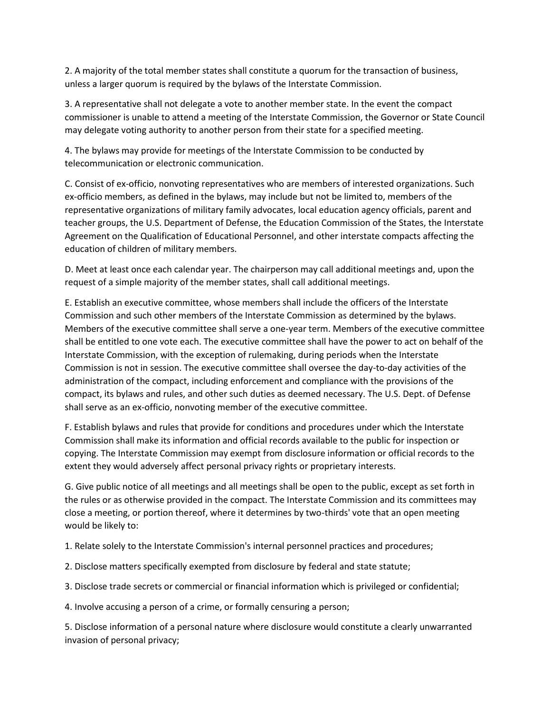2. A majority of the total member states shall constitute a quorum for the transaction of business, unless a larger quorum is required by the bylaws of the Interstate Commission.

3. A representative shall not delegate a vote to another member state. In the event the compact commissioner is unable to attend a meeting of the Interstate Commission, the Governor or State Council may delegate voting authority to another person from their state for a specified meeting.

4. The bylaws may provide for meetings of the Interstate Commission to be conducted by telecommunication or electronic communication.

C. Consist of ex-officio, nonvoting representatives who are members of interested organizations. Such ex-officio members, as defined in the bylaws, may include but not be limited to, members of the representative organizations of military family advocates, local education agency officials, parent and teacher groups, the U.S. Department of Defense, the Education Commission of the States, the Interstate Agreement on the Qualification of Educational Personnel, and other interstate compacts affecting the education of children of military members.

D. Meet at least once each calendar year. The chairperson may call additional meetings and, upon the request of a simple majority of the member states, shall call additional meetings.

E. Establish an executive committee, whose members shall include the officers of the Interstate Commission and such other members of the Interstate Commission as determined by the bylaws. Members of the executive committee shall serve a one-year term. Members of the executive committee shall be entitled to one vote each. The executive committee shall have the power to act on behalf of the Interstate Commission, with the exception of rulemaking, during periods when the Interstate Commission is not in session. The executive committee shall oversee the day-to-day activities of the administration of the compact, including enforcement and compliance with the provisions of the compact, its bylaws and rules, and other such duties as deemed necessary. The U.S. Dept. of Defense shall serve as an ex-officio, nonvoting member of the executive committee.

F. Establish bylaws and rules that provide for conditions and procedures under which the Interstate Commission shall make its information and official records available to the public for inspection or copying. The Interstate Commission may exempt from disclosure information or official records to the extent they would adversely affect personal privacy rights or proprietary interests.

G. Give public notice of all meetings and all meetings shall be open to the public, except as set forth in the rules or as otherwise provided in the compact. The Interstate Commission and its committees may close a meeting, or portion thereof, where it determines by two-thirds' vote that an open meeting would be likely to:

1. Relate solely to the Interstate Commission's internal personnel practices and procedures;

- 2. Disclose matters specifically exempted from disclosure by federal and state statute;
- 3. Disclose trade secrets or commercial or financial information which is privileged or confidential;

4. Involve accusing a person of a crime, or formally censuring a person;

5. Disclose information of a personal nature where disclosure would constitute a clearly unwarranted invasion of personal privacy;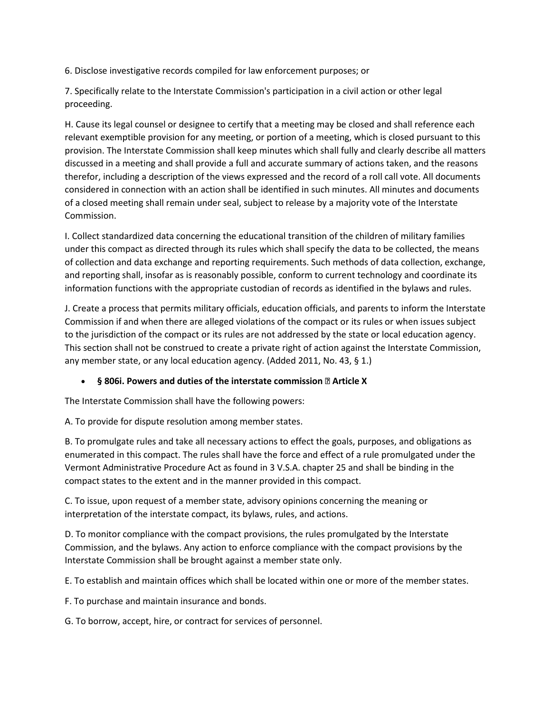6. Disclose investigative records compiled for law enforcement purposes; or

7. Specifically relate to the Interstate Commission's participation in a civil action or other legal proceeding.

H. Cause its legal counsel or designee to certify that a meeting may be closed and shall reference each relevant exemptible provision for any meeting, or portion of a meeting, which is closed pursuant to this provision. The Interstate Commission shall keep minutes which shall fully and clearly describe all matters discussed in a meeting and shall provide a full and accurate summary of actions taken, and the reasons therefor, including a description of the views expressed and the record of a roll call vote. All documents considered in connection with an action shall be identified in such minutes. All minutes and documents of a closed meeting shall remain under seal, subject to release by a majority vote of the Interstate Commission.

I. Collect standardized data concerning the educational transition of the children of military families under this compact as directed through its rules which shall specify the data to be collected, the means of collection and data exchange and reporting requirements. Such methods of data collection, exchange, and reporting shall, insofar as is reasonably possible, conform to current technology and coordinate its information functions with the appropriate custodian of records as identified in the bylaws and rules.

J. Create a process that permits military officials, education officials, and parents to inform the Interstate Commission if and when there are alleged violations of the compact or its rules or when issues subject to the jurisdiction of the compact or its rules are not addressed by the state or local education agency. This section shall not be construed to create a private right of action against the Interstate Commission, any member state, or any local education agency. (Added 2011, No. 43, § 1.)

#### **§ 806i. Powers and duties of the interstate commission —Article X**

The Interstate Commission shall have the following powers:

A. To provide for dispute resolution among member states.

B. To promulgate rules and take all necessary actions to effect the goals, purposes, and obligations as enumerated in this compact. The rules shall have the force and effect of a rule promulgated under the Vermont Administrative Procedure Act as found in 3 V.S.A. chapter 25 and shall be binding in the compact states to the extent and in the manner provided in this compact.

C. To issue, upon request of a member state, advisory opinions concerning the meaning or interpretation of the interstate compact, its bylaws, rules, and actions.

D. To monitor compliance with the compact provisions, the rules promulgated by the Interstate Commission, and the bylaws. Any action to enforce compliance with the compact provisions by the Interstate Commission shall be brought against a member state only.

E. To establish and maintain offices which shall be located within one or more of the member states.

F. To purchase and maintain insurance and bonds.

G. To borrow, accept, hire, or contract for services of personnel.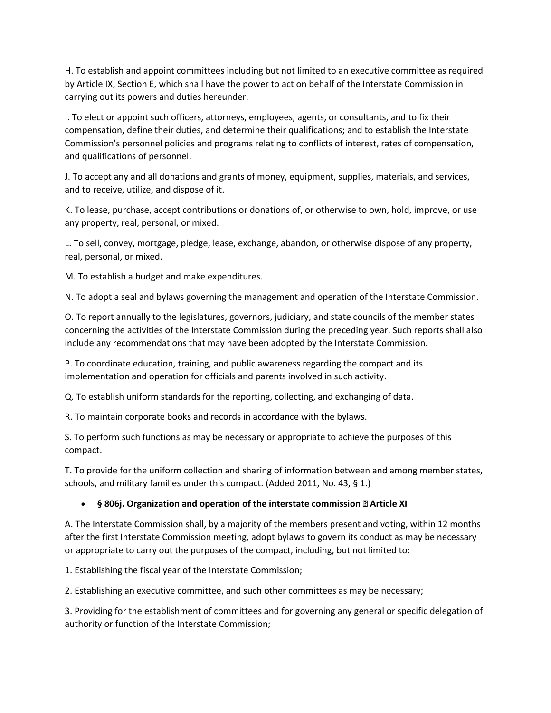H. To establish and appoint committees including but not limited to an executive committee as required by Article IX, Section E, which shall have the power to act on behalf of the Interstate Commission in carrying out its powers and duties hereunder.

I. To elect or appoint such officers, attorneys, employees, agents, or consultants, and to fix their compensation, define their duties, and determine their qualifications; and to establish the Interstate Commission's personnel policies and programs relating to conflicts of interest, rates of compensation, and qualifications of personnel.

J. To accept any and all donations and grants of money, equipment, supplies, materials, and services, and to receive, utilize, and dispose of it.

K. To lease, purchase, accept contributions or donations of, or otherwise to own, hold, improve, or use any property, real, personal, or mixed.

L. To sell, convey, mortgage, pledge, lease, exchange, abandon, or otherwise dispose of any property, real, personal, or mixed.

M. To establish a budget and make expenditures.

N. To adopt a seal and bylaws governing the management and operation of the Interstate Commission.

O. To report annually to the legislatures, governors, judiciary, and state councils of the member states concerning the activities of the Interstate Commission during the preceding year. Such reports shall also include any recommendations that may have been adopted by the Interstate Commission.

P. To coordinate education, training, and public awareness regarding the compact and its implementation and operation for officials and parents involved in such activity.

Q. To establish uniform standards for the reporting, collecting, and exchanging of data.

R. To maintain corporate books and records in accordance with the bylaws.

S. To perform such functions as may be necessary or appropriate to achieve the purposes of this compact.

T. To provide for the uniform collection and sharing of information between and among member states, schools, and military families under this compact. (Added 2011, No. 43, § 1.)

#### **§ 806j. Organization and operation of the interstate commission —Article XI**

A. The Interstate Commission shall, by a majority of the members present and voting, within 12 months after the first Interstate Commission meeting, adopt bylaws to govern its conduct as may be necessary or appropriate to carry out the purposes of the compact, including, but not limited to:

1. Establishing the fiscal year of the Interstate Commission;

2. Establishing an executive committee, and such other committees as may be necessary;

3. Providing for the establishment of committees and for governing any general or specific delegation of authority or function of the Interstate Commission;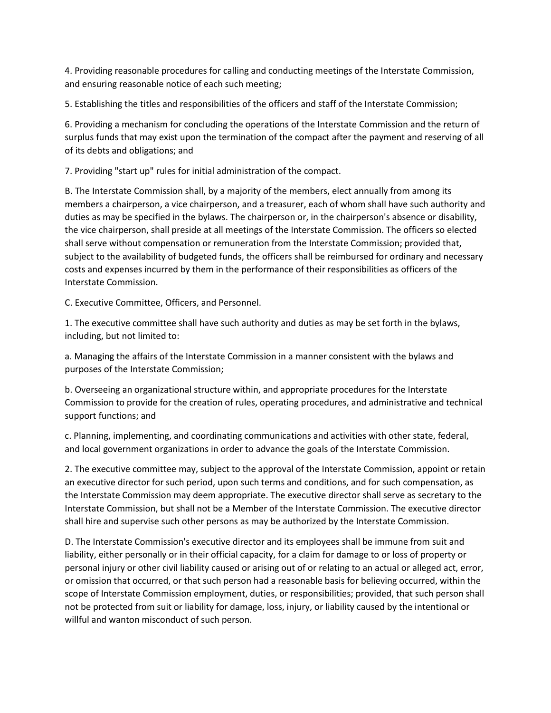4. Providing reasonable procedures for calling and conducting meetings of the Interstate Commission, and ensuring reasonable notice of each such meeting;

5. Establishing the titles and responsibilities of the officers and staff of the Interstate Commission;

6. Providing a mechanism for concluding the operations of the Interstate Commission and the return of surplus funds that may exist upon the termination of the compact after the payment and reserving of all of its debts and obligations; and

7. Providing "start up" rules for initial administration of the compact.

B. The Interstate Commission shall, by a majority of the members, elect annually from among its members a chairperson, a vice chairperson, and a treasurer, each of whom shall have such authority and duties as may be specified in the bylaws. The chairperson or, in the chairperson's absence or disability, the vice chairperson, shall preside at all meetings of the Interstate Commission. The officers so elected shall serve without compensation or remuneration from the Interstate Commission; provided that, subject to the availability of budgeted funds, the officers shall be reimbursed for ordinary and necessary costs and expenses incurred by them in the performance of their responsibilities as officers of the Interstate Commission.

C. Executive Committee, Officers, and Personnel.

1. The executive committee shall have such authority and duties as may be set forth in the bylaws, including, but not limited to:

a. Managing the affairs of the Interstate Commission in a manner consistent with the bylaws and purposes of the Interstate Commission;

b. Overseeing an organizational structure within, and appropriate procedures for the Interstate Commission to provide for the creation of rules, operating procedures, and administrative and technical support functions; and

c. Planning, implementing, and coordinating communications and activities with other state, federal, and local government organizations in order to advance the goals of the Interstate Commission.

2. The executive committee may, subject to the approval of the Interstate Commission, appoint or retain an executive director for such period, upon such terms and conditions, and for such compensation, as the Interstate Commission may deem appropriate. The executive director shall serve as secretary to the Interstate Commission, but shall not be a Member of the Interstate Commission. The executive director shall hire and supervise such other persons as may be authorized by the Interstate Commission.

D. The Interstate Commission's executive director and its employees shall be immune from suit and liability, either personally or in their official capacity, for a claim for damage to or loss of property or personal injury or other civil liability caused or arising out of or relating to an actual or alleged act, error, or omission that occurred, or that such person had a reasonable basis for believing occurred, within the scope of Interstate Commission employment, duties, or responsibilities; provided, that such person shall not be protected from suit or liability for damage, loss, injury, or liability caused by the intentional or willful and wanton misconduct of such person.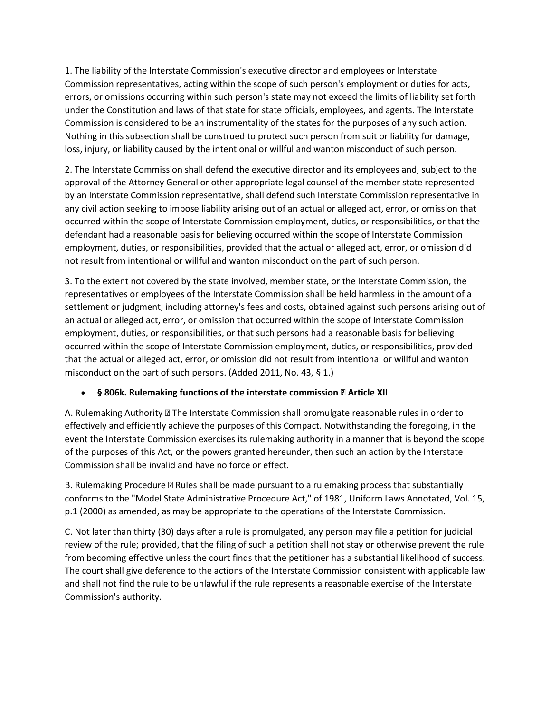1. The liability of the Interstate Commission's executive director and employees or Interstate Commission representatives, acting within the scope of such person's employment or duties for acts, errors, or omissions occurring within such person's state may not exceed the limits of liability set forth under the Constitution and laws of that state for state officials, employees, and agents. The Interstate Commission is considered to be an instrumentality of the states for the purposes of any such action. Nothing in this subsection shall be construed to protect such person from suit or liability for damage, loss, injury, or liability caused by the intentional or willful and wanton misconduct of such person.

2. The Interstate Commission shall defend the executive director and its employees and, subject to the approval of the Attorney General or other appropriate legal counsel of the member state represented by an Interstate Commission representative, shall defend such Interstate Commission representative in any civil action seeking to impose liability arising out of an actual or alleged act, error, or omission that occurred within the scope of Interstate Commission employment, duties, or responsibilities, or that the defendant had a reasonable basis for believing occurred within the scope of Interstate Commission employment, duties, or responsibilities, provided that the actual or alleged act, error, or omission did not result from intentional or willful and wanton misconduct on the part of such person.

3. To the extent not covered by the state involved, member state, or the Interstate Commission, the representatives or employees of the Interstate Commission shall be held harmless in the amount of a settlement or judgment, including attorney's fees and costs, obtained against such persons arising out of an actual or alleged act, error, or omission that occurred within the scope of Interstate Commission employment, duties, or responsibilities, or that such persons had a reasonable basis for believing occurred within the scope of Interstate Commission employment, duties, or responsibilities, provided that the actual or alleged act, error, or omission did not result from intentional or willful and wanton misconduct on the part of such persons. (Added 2011, No. 43, § 1.)

#### **§ 806k. Rulemaking functions of the interstate commission —Article XII**

A. Rulemaking Authority —The Interstate Commission shall promulgate reasonable rules in order to effectively and efficiently achieve the purposes of this Compact. Notwithstanding the foregoing, in the event the Interstate Commission exercises its rulemaking authority in a manner that is beyond the scope of the purposes of this Act, or the powers granted hereunder, then such an action by the Interstate Commission shall be invalid and have no force or effect.

B. Rulemaking Procedure —Rules shall be made pursuant to a rulemaking process that substantially conforms to the "Model State Administrative Procedure Act," of 1981, Uniform Laws Annotated, Vol. 15, p.1 (2000) as amended, as may be appropriate to the operations of the Interstate Commission.

C. Not later than thirty (30) days after a rule is promulgated, any person may file a petition for judicial review of the rule; provided, that the filing of such a petition shall not stay or otherwise prevent the rule from becoming effective unless the court finds that the petitioner has a substantial likelihood of success. The court shall give deference to the actions of the Interstate Commission consistent with applicable law and shall not find the rule to be unlawful if the rule represents a reasonable exercise of the Interstate Commission's authority.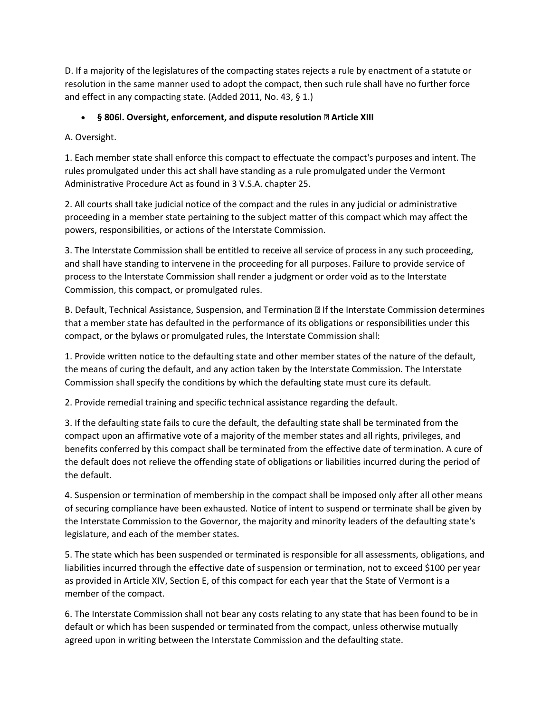D. If a majority of the legislatures of the compacting states rejects a rule by enactment of a statute or resolution in the same manner used to adopt the compact, then such rule shall have no further force and effect in any compacting state. (Added 2011, No. 43, § 1.)

### **§ 806l. Oversight, enforcement, and dispute resolution —Article XIII**

A. Oversight.

1. Each member state shall enforce this compact to effectuate the compact's purposes and intent. The rules promulgated under this act shall have standing as a rule promulgated under the Vermont Administrative Procedure Act as found in 3 V.S.A. chapter 25.

2. All courts shall take judicial notice of the compact and the rules in any judicial or administrative proceeding in a member state pertaining to the subject matter of this compact which may affect the powers, responsibilities, or actions of the Interstate Commission.

3. The Interstate Commission shall be entitled to receive all service of process in any such proceeding, and shall have standing to intervene in the proceeding for all purposes. Failure to provide service of process to the Interstate Commission shall render a judgment or order void as to the Interstate Commission, this compact, or promulgated rules.

B. Default, Technical Assistance, Suspension, and Termination —If the Interstate Commission determines that a member state has defaulted in the performance of its obligations or responsibilities under this compact, or the bylaws or promulgated rules, the Interstate Commission shall:

1. Provide written notice to the defaulting state and other member states of the nature of the default, the means of curing the default, and any action taken by the Interstate Commission. The Interstate Commission shall specify the conditions by which the defaulting state must cure its default.

2. Provide remedial training and specific technical assistance regarding the default.

3. If the defaulting state fails to cure the default, the defaulting state shall be terminated from the compact upon an affirmative vote of a majority of the member states and all rights, privileges, and benefits conferred by this compact shall be terminated from the effective date of termination. A cure of the default does not relieve the offending state of obligations or liabilities incurred during the period of the default.

4. Suspension or termination of membership in the compact shall be imposed only after all other means of securing compliance have been exhausted. Notice of intent to suspend or terminate shall be given by the Interstate Commission to the Governor, the majority and minority leaders of the defaulting state's legislature, and each of the member states.

5. The state which has been suspended or terminated is responsible for all assessments, obligations, and liabilities incurred through the effective date of suspension or termination, not to exceed \$100 per year as provided in Article XIV, Section E, of this compact for each year that the State of Vermont is a member of the compact.

6. The Interstate Commission shall not bear any costs relating to any state that has been found to be in default or which has been suspended or terminated from the compact, unless otherwise mutually agreed upon in writing between the Interstate Commission and the defaulting state.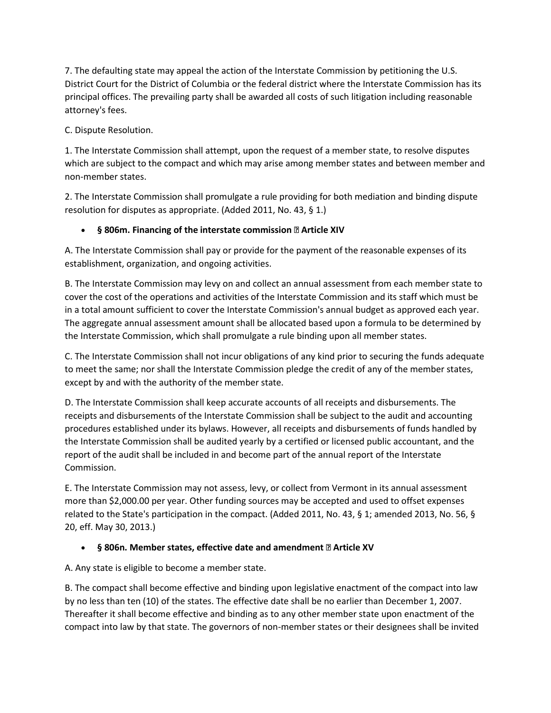7. The defaulting state may appeal the action of the Interstate Commission by petitioning the U.S. District Court for the District of Columbia or the federal district where the Interstate Commission has its principal offices. The prevailing party shall be awarded all costs of such litigation including reasonable attorney's fees.

C. Dispute Resolution.

1. The Interstate Commission shall attempt, upon the request of a member state, to resolve disputes which are subject to the compact and which may arise among member states and between member and non-member states.

2. The Interstate Commission shall promulgate a rule providing for both mediation and binding dispute resolution for disputes as appropriate. (Added 2011, No. 43, § 1.)

### **§ 806m. Financing of the interstate commission —Article XIV**

A. The Interstate Commission shall pay or provide for the payment of the reasonable expenses of its establishment, organization, and ongoing activities.

B. The Interstate Commission may levy on and collect an annual assessment from each member state to cover the cost of the operations and activities of the Interstate Commission and its staff which must be in a total amount sufficient to cover the Interstate Commission's annual budget as approved each year. The aggregate annual assessment amount shall be allocated based upon a formula to be determined by the Interstate Commission, which shall promulgate a rule binding upon all member states.

C. The Interstate Commission shall not incur obligations of any kind prior to securing the funds adequate to meet the same; nor shall the Interstate Commission pledge the credit of any of the member states, except by and with the authority of the member state.

D. The Interstate Commission shall keep accurate accounts of all receipts and disbursements. The receipts and disbursements of the Interstate Commission shall be subject to the audit and accounting procedures established under its bylaws. However, all receipts and disbursements of funds handled by the Interstate Commission shall be audited yearly by a certified or licensed public accountant, and the report of the audit shall be included in and become part of the annual report of the Interstate Commission.

E. The Interstate Commission may not assess, levy, or collect from Vermont in its annual assessment more than \$2,000.00 per year. Other funding sources may be accepted and used to offset expenses related to the State's participation in the compact. (Added 2011, No. 43, § 1; amended 2013, No. 56, § 20, eff. May 30, 2013.)

### **§ 806n. Member states, effective date and amendment —Article XV**

A. Any state is eligible to become a member state.

B. The compact shall become effective and binding upon legislative enactment of the compact into law by no less than ten (10) of the states. The effective date shall be no earlier than December 1, 2007. Thereafter it shall become effective and binding as to any other member state upon enactment of the compact into law by that state. The governors of non-member states or their designees shall be invited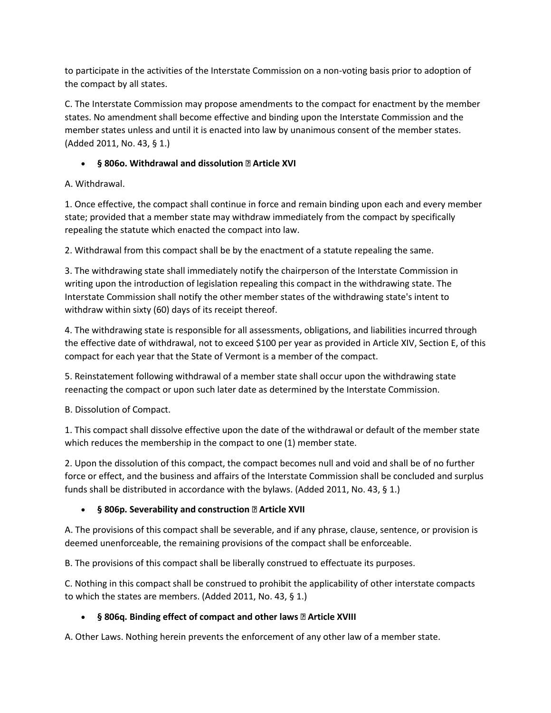to participate in the activities of the Interstate Commission on a non-voting basis prior to adoption of the compact by all states.

C. The Interstate Commission may propose amendments to the compact for enactment by the member states. No amendment shall become effective and binding upon the Interstate Commission and the member states unless and until it is enacted into law by unanimous consent of the member states. (Added 2011, No. 43, § 1.)

## **§ 806o. Withdrawal and dissolution —Article XVI**

A. Withdrawal.

1. Once effective, the compact shall continue in force and remain binding upon each and every member state; provided that a member state may withdraw immediately from the compact by specifically repealing the statute which enacted the compact into law.

2. Withdrawal from this compact shall be by the enactment of a statute repealing the same.

3. The withdrawing state shall immediately notify the chairperson of the Interstate Commission in writing upon the introduction of legislation repealing this compact in the withdrawing state. The Interstate Commission shall notify the other member states of the withdrawing state's intent to withdraw within sixty (60) days of its receipt thereof.

4. The withdrawing state is responsible for all assessments, obligations, and liabilities incurred through the effective date of withdrawal, not to exceed \$100 per year as provided in Article XIV, Section E, of this compact for each year that the State of Vermont is a member of the compact.

5. Reinstatement following withdrawal of a member state shall occur upon the withdrawing state reenacting the compact or upon such later date as determined by the Interstate Commission.

B. Dissolution of Compact.

1. This compact shall dissolve effective upon the date of the withdrawal or default of the member state which reduces the membership in the compact to one (1) member state.

2. Upon the dissolution of this compact, the compact becomes null and void and shall be of no further force or effect, and the business and affairs of the Interstate Commission shall be concluded and surplus funds shall be distributed in accordance with the bylaws. (Added 2011, No. 43, § 1.)

# **§ 806p. Severability and construction —Article XVII**

A. The provisions of this compact shall be severable, and if any phrase, clause, sentence, or provision is deemed unenforceable, the remaining provisions of the compact shall be enforceable.

B. The provisions of this compact shall be liberally construed to effectuate its purposes.

C. Nothing in this compact shall be construed to prohibit the applicability of other interstate compacts to which the states are members. (Added 2011, No. 43, § 1.)

# **§ 806q. Binding effect of compact and other laws —Article XVIII**

A. Other Laws. Nothing herein prevents the enforcement of any other law of a member state.